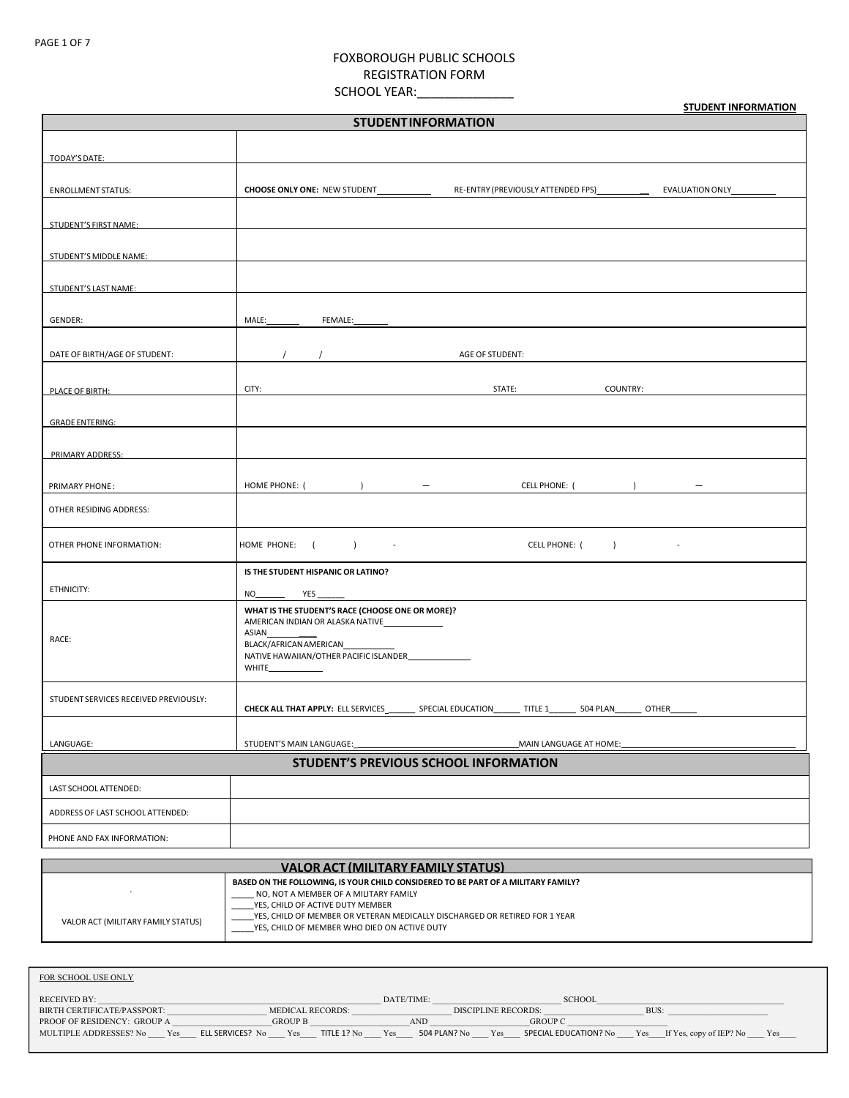# FOXBOROUGH PUBLIC SCHOOLS REGISTRATION FORM

SCHOOL YEAR:\_\_\_\_\_\_\_\_\_\_\_\_\_\_\_\_\_\_

**STUDENT INFORMATION**

| <b>STUDENTINFORMATION</b>             |                                                                                                                                                                                                                                                                                                                                                                        |  |  |  |
|---------------------------------------|------------------------------------------------------------------------------------------------------------------------------------------------------------------------------------------------------------------------------------------------------------------------------------------------------------------------------------------------------------------------|--|--|--|
| TODAY'S DATE:                         |                                                                                                                                                                                                                                                                                                                                                                        |  |  |  |
| <b>ENROLLMENT STATUS:</b>             | CHOOSE ONLY ONE: NEW STUDENT_____________                                                                                                                                                                                                                                                                                                                              |  |  |  |
| STUDENT'S FIRST NAME:                 |                                                                                                                                                                                                                                                                                                                                                                        |  |  |  |
| STUDENT'S MIDDLE NAME:                |                                                                                                                                                                                                                                                                                                                                                                        |  |  |  |
| STUDENT'S LAST NAME:                  |                                                                                                                                                                                                                                                                                                                                                                        |  |  |  |
| GENDER:                               | FEMALE:<br>MALE: NAMEL                                                                                                                                                                                                                                                                                                                                                 |  |  |  |
| DATE OF BIRTH/AGE OF STUDENT:         | AGE OF STUDENT:                                                                                                                                                                                                                                                                                                                                                        |  |  |  |
| PLACE OF BIRTH:                       | CITY:<br>STATE: The contract of the contract of the contract of the contract of the contract of the contract of the contract of the contract of the contract of the contract of the contract of the contract of the contract of the con<br>COUNTRY:                                                                                                                    |  |  |  |
| <b>GRADE ENTERING:</b>                |                                                                                                                                                                                                                                                                                                                                                                        |  |  |  |
| PRIMARY ADDRESS:                      |                                                                                                                                                                                                                                                                                                                                                                        |  |  |  |
| PRIMARY PHONE:                        | HOME PHONE: (<br>$\overline{a}$ and $\overline{a}$ and $\overline{a}$ and $\overline{a}$ and $\overline{a}$ and $\overline{a}$ and $\overline{a}$ and $\overline{a}$ and $\overline{a}$ and $\overline{a}$ and $\overline{a}$ and $\overline{a}$ and $\overline{a}$ and $\overline{a}$ and $\overline{a}$ and $\overline{a}$ and $\overline{a}$ and<br>CELL PHONE: ( ) |  |  |  |
| OTHER RESIDING ADDRESS:               |                                                                                                                                                                                                                                                                                                                                                                        |  |  |  |
| OTHER PHONE INFORMATION:              | HOME PHONE: (<br>CELL PHONE: ( ) -<br>$\overline{1}$<br>$\sim$                                                                                                                                                                                                                                                                                                         |  |  |  |
| ETHNICITY:                            | IS THE STUDENT HISPANIC OR LATINO?                                                                                                                                                                                                                                                                                                                                     |  |  |  |
| RACE:                                 | WHAT IS THE STUDENT'S RACE (CHOOSE ONE OR MORE)?<br>AMERICAN INDIAN OR ALASKA NATIVE<br>ASIAN<br>BLACK/AFRICAN AMERICAN<br>NATIVE HAWAIIAN/OTHER PACIFIC ISLANDER<br><b>WHITE</b>                                                                                                                                                                                      |  |  |  |
| STUDENT SERVICES RECEIVED PREVIOUSLY: | CHECK ALL THAT APPLY: ELL SERVICES___________ SPECIAL EDUCATION________ TITLE 1_________ 504 PLAN_<br>OTHER                                                                                                                                                                                                                                                            |  |  |  |
| LANGUAGE:                             | STUDENT'S MAIN LANGUAGE:<br>MAIN LANGUAGE AT HOME:                                                                                                                                                                                                                                                                                                                     |  |  |  |
| STUDENT'S PREVIOUS SCHOOL INFORMATION |                                                                                                                                                                                                                                                                                                                                                                        |  |  |  |
| LAST SCHOOL ATTENDED:                 |                                                                                                                                                                                                                                                                                                                                                                        |  |  |  |
| ADDRESS OF LAST SCHOOL ATTENDED:      |                                                                                                                                                                                                                                                                                                                                                                        |  |  |  |
| PHONE AND FAX INFORMATION:            |                                                                                                                                                                                                                                                                                                                                                                        |  |  |  |

| VALOR ACT (MILITARY FAMILY STATUS) |                                                                                                                                                                                                                                                                                              |  |  |
|------------------------------------|----------------------------------------------------------------------------------------------------------------------------------------------------------------------------------------------------------------------------------------------------------------------------------------------|--|--|
| VALOR ACT (MILITARY FAMILY STATUS) | BASED ON THE FOLLOWING, IS YOUR CHILD CONSIDERED TO BE PART OF A MILITARY FAMILY?<br>NO, NOT A MEMBER OF A MILITARY FAMILY<br>YES, CHILD OF ACTIVE DUTY MEMBER<br>YES, CHILD OF MEMBER OR VETERAN MEDICALLY DISCHARGED OR RETIRED FOR 1 YEAR<br>YES, CHILD OF MEMBER WHO DIED ON ACTIVE DUTY |  |  |

| FOR SCHOOL USE ONLY           |                                        |                     |                              |                                              |
|-------------------------------|----------------------------------------|---------------------|------------------------------|----------------------------------------------|
| RECEIVED BY:                  |                                        | DATE/TIME:          | <b>SCHOOL</b>                |                                              |
| BIRTH CERTIFICATE/PASSPORT:   | <b>MEDICAL RECORDS:</b>                |                     | <b>DISCIPLINE RECORDS:</b>   | BUS:                                         |
| PROOF OF RESIDENCY: GROUP A   | <b>GROUP B</b>                         | AND                 | <b>GROUP C</b>               |                                              |
| MULTIPLE ADDRESSES? No<br>Yes | Yes<br>TITLE 1? No<br>ELL SERVICES? No | 504 PLAN? No<br>Yes | SPECIAL EDUCATION? No<br>Yes | <b>Yes</b><br>If Yes, copy of IEP? No<br>Yes |
|                               |                                        |                     |                              |                                              |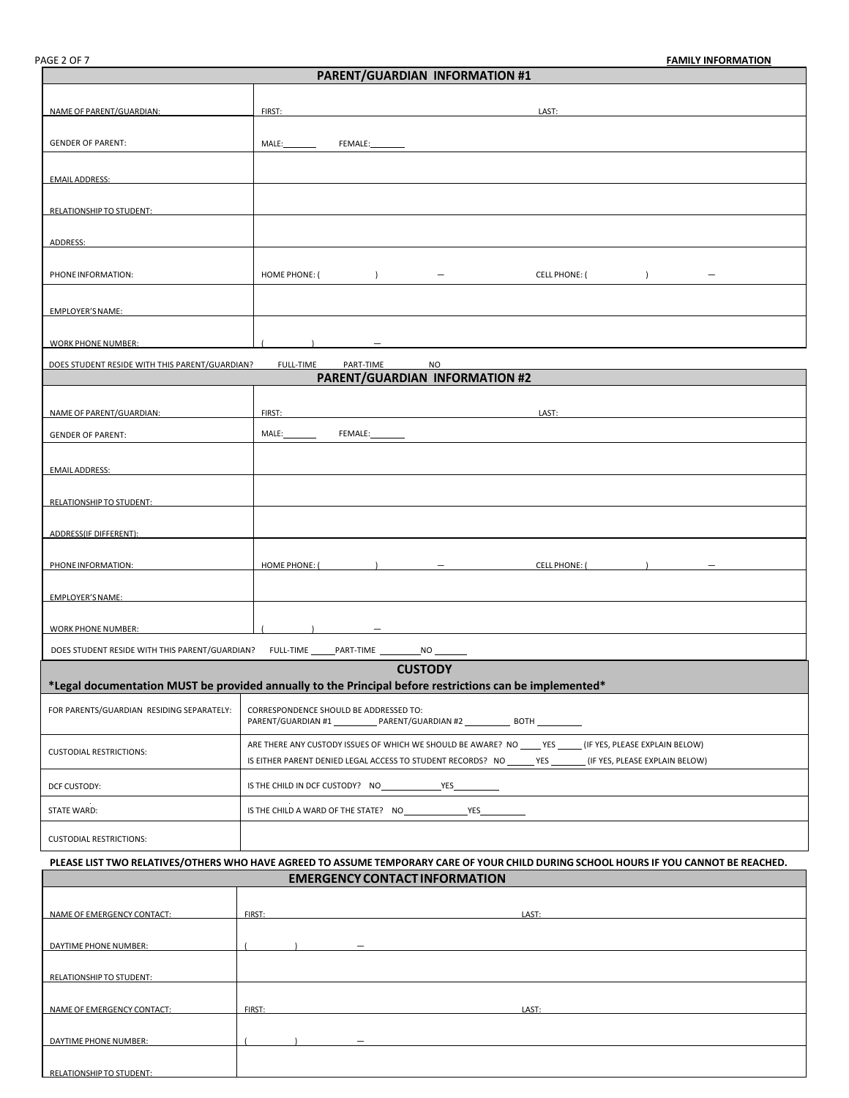| <b>PARENT/GUARDIAN INFORMATION #1</b>                                                                                                 |                                                                                                                                                   |  |  |
|---------------------------------------------------------------------------------------------------------------------------------------|---------------------------------------------------------------------------------------------------------------------------------------------------|--|--|
|                                                                                                                                       |                                                                                                                                                   |  |  |
| NAME OF PARENT/GUARDIAN:                                                                                                              | FIRST:<br>LAST:                                                                                                                                   |  |  |
|                                                                                                                                       |                                                                                                                                                   |  |  |
| <b>GENDER OF PARENT:</b>                                                                                                              | MALE:<br>FEMALE:                                                                                                                                  |  |  |
|                                                                                                                                       |                                                                                                                                                   |  |  |
| <b>EMAIL ADDRESS:</b>                                                                                                                 |                                                                                                                                                   |  |  |
| RELATIONSHIP TO STUDENT:                                                                                                              |                                                                                                                                                   |  |  |
|                                                                                                                                       |                                                                                                                                                   |  |  |
| ADDRESS:                                                                                                                              |                                                                                                                                                   |  |  |
|                                                                                                                                       |                                                                                                                                                   |  |  |
| PHONE INFORMATION:                                                                                                                    | HOME PHONE: (<br><b>CELL PHONE: (</b><br>$\overline{\phantom{a}}$<br>$\rightarrow$<br>$\overline{\phantom{m}}$<br>$\hspace{0.1mm}-\hspace{0.1mm}$ |  |  |
|                                                                                                                                       |                                                                                                                                                   |  |  |
| EMPLOYER'S NAME:                                                                                                                      |                                                                                                                                                   |  |  |
| <b>WORK PHONE NUMBER:</b>                                                                                                             |                                                                                                                                                   |  |  |
|                                                                                                                                       |                                                                                                                                                   |  |  |
| DOES STUDENT RESIDE WITH THIS PARENT/GUARDIAN?                                                                                        | <b>FULL-TIME</b><br>PART-TIME<br>NO<br>PARENT/GUARDIAN INFORMATION #2                                                                             |  |  |
|                                                                                                                                       |                                                                                                                                                   |  |  |
| NAME OF PARENT/GUARDIAN:                                                                                                              | FIRST:<br>LAST:                                                                                                                                   |  |  |
| <b>GENDER OF PARENT:</b>                                                                                                              | MALE:__________<br>FEMALE:                                                                                                                        |  |  |
|                                                                                                                                       |                                                                                                                                                   |  |  |
| <b>EMAIL ADDRESS:</b>                                                                                                                 |                                                                                                                                                   |  |  |
|                                                                                                                                       |                                                                                                                                                   |  |  |
| <b>RELATIONSHIP TO STUDENT:</b>                                                                                                       |                                                                                                                                                   |  |  |
|                                                                                                                                       |                                                                                                                                                   |  |  |
| ADDRESS(IF DIFFERENT):                                                                                                                |                                                                                                                                                   |  |  |
| PHONE INFORMATION:                                                                                                                    | HOME PHONE: (<br><b>CELL PHONE: (</b>                                                                                                             |  |  |
|                                                                                                                                       |                                                                                                                                                   |  |  |
| EMPLOYER'S NAME:                                                                                                                      |                                                                                                                                                   |  |  |
|                                                                                                                                       |                                                                                                                                                   |  |  |
| <b>WORK PHONE NUMBER:</b>                                                                                                             |                                                                                                                                                   |  |  |
|                                                                                                                                       | DOES STUDENT RESIDE WITH THIS PARENT/GUARDIAN? FULL-TIME ______PART-TIME ____________ NO _________                                                |  |  |
|                                                                                                                                       | <b>CUSTODY</b>                                                                                                                                    |  |  |
|                                                                                                                                       | *Legal documentation MUST be provided annually to the Principal before restrictions can be implemented*                                           |  |  |
| FOR PARENTS/GUARDIAN RESIDING SEPARATELY:                                                                                             | CORRESPONDENCE SHOULD BE ADDRESSED TO:                                                                                                            |  |  |
|                                                                                                                                       | PARENT/GUARDIAN #1 PARENT/GUARDIAN #2 BOTH                                                                                                        |  |  |
|                                                                                                                                       | ARE THERE ANY CUSTODY ISSUES OF WHICH WE SHOULD BE AWARE? NO _____ YES ______ (IF YES, PLEASE EXPLAIN BELOW)                                      |  |  |
| <b>CUSTODIAL RESTRICTIONS:</b>                                                                                                        | IS EITHER PARENT DENIED LEGAL ACCESS TO STUDENT RECORDS? NO _______ YES ________ (IF YES, PLEASE EXPLAIN BELOW)                                   |  |  |
|                                                                                                                                       |                                                                                                                                                   |  |  |
| DCF CUSTODY:                                                                                                                          | the company of the company of                                                                                                                     |  |  |
| STATE WARD:                                                                                                                           | IS THE CHILD A WARD OF THE STATE? NO VES                                                                                                          |  |  |
| <b>CUSTODIAL RESTRICTIONS:</b>                                                                                                        |                                                                                                                                                   |  |  |
|                                                                                                                                       |                                                                                                                                                   |  |  |
| PLEASE LIST TWO RELATIVES/OTHERS WHO HAVE AGREED TO ASSUME TEMPORARY CARE OF YOUR CHILD DURING SCHOOL HOURS IF YOU CANNOT BE REACHED. |                                                                                                                                                   |  |  |
|                                                                                                                                       | <b>EMERGENCY CONTACT INFORMATION</b>                                                                                                              |  |  |
|                                                                                                                                       |                                                                                                                                                   |  |  |

| NAME OF EMERGENCY CONTACT: | FIRST:                   | LAST: |
|----------------------------|--------------------------|-------|
|                            |                          |       |
| DAYTIME PHONE NUMBER:      | $\overline{\phantom{m}}$ |       |
|                            |                          |       |
| RELATIONSHIP TO STUDENT:   |                          |       |
|                            |                          |       |
| NAME OF EMERGENCY CONTACT: | FIRST:                   | LAST: |
|                            |                          |       |
| DAYTIME PHONE NUMBER:      | $\overline{\phantom{0}}$ |       |
|                            |                          |       |
| RELATIONSHIP TO STUDENT:   |                          |       |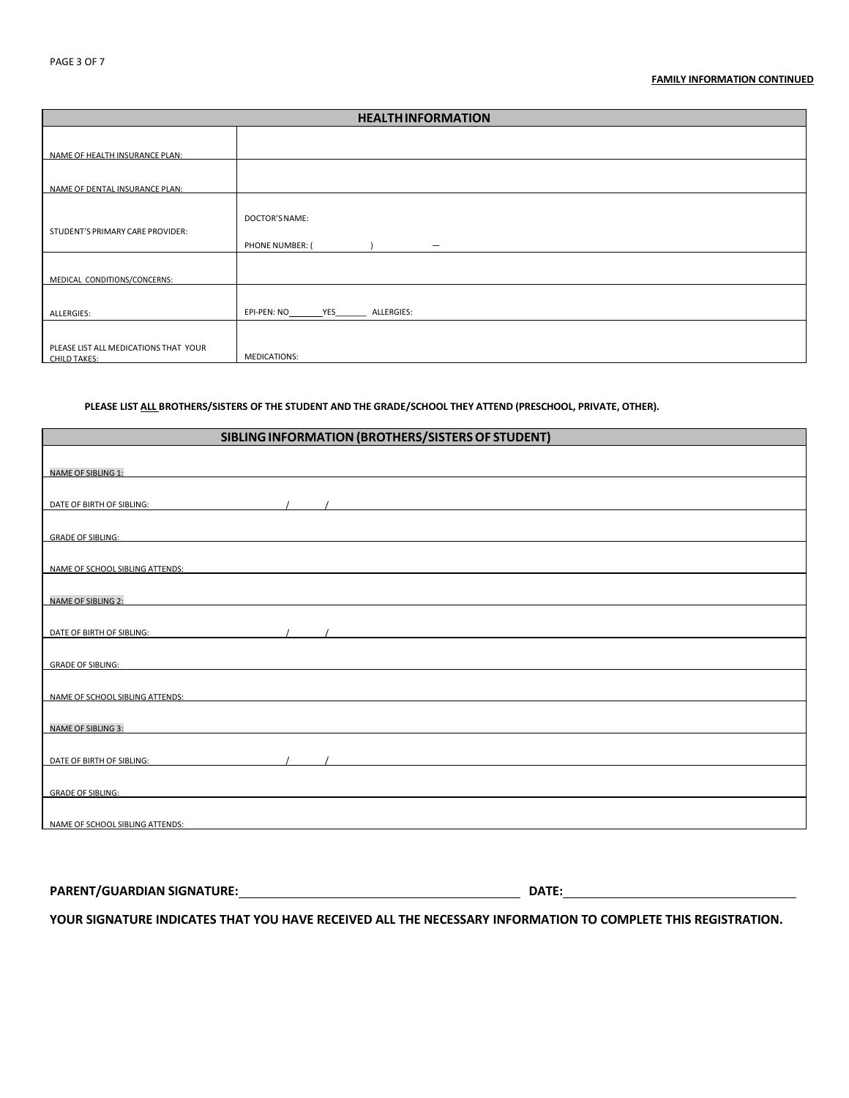### **FAMILY INFORMATION CONTINUED**

| <b>HEALTHINFORMATION</b>              |                                             |  |  |
|---------------------------------------|---------------------------------------------|--|--|
|                                       |                                             |  |  |
| NAME OF HEALTH INSURANCE PLAN:        |                                             |  |  |
|                                       |                                             |  |  |
| NAME OF DENTAL INSURANCE PLAN:        |                                             |  |  |
|                                       |                                             |  |  |
|                                       | DOCTOR'S NAME:                              |  |  |
| STUDENT'S PRIMARY CARE PROVIDER:      | PHONE NUMBER: (<br>$\overline{\phantom{m}}$ |  |  |
|                                       |                                             |  |  |
| MEDICAL CONDITIONS/CONCERNS:          |                                             |  |  |
|                                       |                                             |  |  |
| ALLERGIES:                            | EPI-PEN: NO __________ YES<br>ALLERGIES:    |  |  |
|                                       |                                             |  |  |
| PLEASE LIST ALL MEDICATIONS THAT YOUR |                                             |  |  |
| CHILD TAKES:                          | <b>MEDICATIONS:</b>                         |  |  |

## **PLEASE LIST ALL BROTHERS/SISTERS OF THE STUDENT AND THE GRADE/SCHOOL THEY ATTEND (PRESCHOOL, PRIVATE, OTHER).**

|                                                                                                                                                                                                                               |                                                                                                                      | SIBLING INFORMATION (BROTHERS/SISTERS OF STUDENT)                                                                                                                                                                                                                                                                                                                                                                                                            |  |
|-------------------------------------------------------------------------------------------------------------------------------------------------------------------------------------------------------------------------------|----------------------------------------------------------------------------------------------------------------------|--------------------------------------------------------------------------------------------------------------------------------------------------------------------------------------------------------------------------------------------------------------------------------------------------------------------------------------------------------------------------------------------------------------------------------------------------------------|--|
|                                                                                                                                                                                                                               |                                                                                                                      |                                                                                                                                                                                                                                                                                                                                                                                                                                                              |  |
| <b>NAME OF SIBLING 1:</b>                                                                                                                                                                                                     |                                                                                                                      |                                                                                                                                                                                                                                                                                                                                                                                                                                                              |  |
| DATE OF BIRTH OF SIBLING:                                                                                                                                                                                                     |                                                                                                                      | $\mathcal{L}$ and $\mathcal{L}$ and $\mathcal{L}$ and $\mathcal{L}$ and $\mathcal{L}$ and $\mathcal{L}$ and $\mathcal{L}$ and $\mathcal{L}$ and $\mathcal{L}$ and $\mathcal{L}$ and $\mathcal{L}$ and $\mathcal{L}$ and $\mathcal{L}$ and $\mathcal{L}$ and $\mathcal{L}$ and $\mathcal{L}$ and $\mathcal{L}$ and                                                                                                                                            |  |
| GRADE OF SIBLING: The STATE OF STATE OF STATE OF STATE OF STATE OF STATE OF SIBLING:                                                                                                                                          |                                                                                                                      |                                                                                                                                                                                                                                                                                                                                                                                                                                                              |  |
|                                                                                                                                                                                                                               |                                                                                                                      |                                                                                                                                                                                                                                                                                                                                                                                                                                                              |  |
| NAME OF SCHOOL SIBLING ATTENDS: THE STATE OF SCHOOL SIBLING ATTENDS:                                                                                                                                                          |                                                                                                                      |                                                                                                                                                                                                                                                                                                                                                                                                                                                              |  |
| <b>NAME OF SIBLING 2:</b>                                                                                                                                                                                                     | <u> 1989 - Johann Stein, mars an de Frankrik (f. 1989)</u>                                                           |                                                                                                                                                                                                                                                                                                                                                                                                                                                              |  |
|                                                                                                                                                                                                                               |                                                                                                                      |                                                                                                                                                                                                                                                                                                                                                                                                                                                              |  |
| DATE OF BIRTH OF SIBLING:                                                                                                                                                                                                     |                                                                                                                      | $\mathcal{L} = \mathcal{L} = \mathcal{L} = \mathcal{L} = \mathcal{L} = \mathcal{L} = \mathcal{L} = \mathcal{L} = \mathcal{L} = \mathcal{L} = \mathcal{L} = \mathcal{L} = \mathcal{L} = \mathcal{L} = \mathcal{L} = \mathcal{L} = \mathcal{L} = \mathcal{L} = \mathcal{L} = \mathcal{L} = \mathcal{L} = \mathcal{L} = \mathcal{L} = \mathcal{L} = \mathcal{L} = \mathcal{L} = \mathcal{L} = \mathcal{L} = \mathcal{L} = \mathcal{L} = \mathcal{L} = \mathcal$ |  |
| <b>GRADE OF SIBLING:</b>                                                                                                                                                                                                      |                                                                                                                      |                                                                                                                                                                                                                                                                                                                                                                                                                                                              |  |
|                                                                                                                                                                                                                               |                                                                                                                      |                                                                                                                                                                                                                                                                                                                                                                                                                                                              |  |
| NAME OF SCHOOL SIBLING ATTENDS:                                                                                                                                                                                               |                                                                                                                      |                                                                                                                                                                                                                                                                                                                                                                                                                                                              |  |
|                                                                                                                                                                                                                               |                                                                                                                      |                                                                                                                                                                                                                                                                                                                                                                                                                                                              |  |
| NAME OF SIBLING 3:                                                                                                                                                                                                            | <u> 1980 - Jan Sarajević, politički politički predstavanja i politička predstava i politička predstava i politič</u> |                                                                                                                                                                                                                                                                                                                                                                                                                                                              |  |
|                                                                                                                                                                                                                               |                                                                                                                      |                                                                                                                                                                                                                                                                                                                                                                                                                                                              |  |
|                                                                                                                                                                                                                               |                                                                                                                      |                                                                                                                                                                                                                                                                                                                                                                                                                                                              |  |
|                                                                                                                                                                                                                               |                                                                                                                      |                                                                                                                                                                                                                                                                                                                                                                                                                                                              |  |
| GRADE OF SIBLING: A CONSERVER CONTROL CONTROL CONTROL CONTROL CONTROL CONTROL CONTROL CONTROL CONTROL CONTROL CONTROL CONTROL CONTROL CONTROL CONTROL CONTROL CONTROL CONTROL CONTROL CONTROL CONTROL CONTROL CONTROL CONTROL |                                                                                                                      |                                                                                                                                                                                                                                                                                                                                                                                                                                                              |  |
|                                                                                                                                                                                                                               |                                                                                                                      |                                                                                                                                                                                                                                                                                                                                                                                                                                                              |  |
| NAME OF SCHOOL SIBLING ATTENDS: NAMEL AND THE STATE OF STATE OF STATE OF SCHOOL SIBLING ATTENDS:                                                                                                                              |                                                                                                                      |                                                                                                                                                                                                                                                                                                                                                                                                                                                              |  |
|                                                                                                                                                                                                                               |                                                                                                                      |                                                                                                                                                                                                                                                                                                                                                                                                                                                              |  |

**PARENT/GUARDIAN SIGNATURE: DATE:** 

**YOUR SIGNATURE INDICATES THAT YOU HAVE RECEIVED ALL THE NECESSARY INFORMATION TO COMPLETE THIS REGISTRATION.**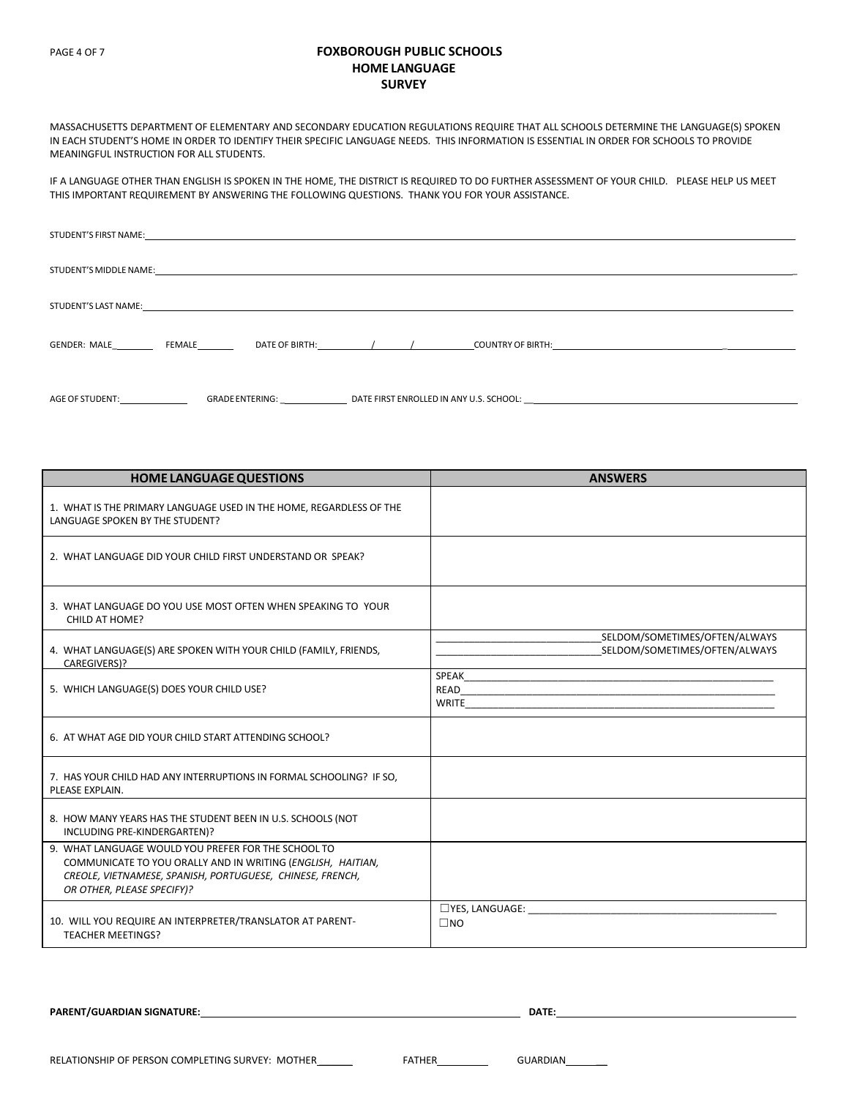## PAGE 4 OF 7 **FOXBOROUGH PUBLIC SCHOOLS HOME LANGUAGE SURVEY**

MASSACHUSETTS DEPARTMENT OF ELEMENTARY AND SECONDARY EDUCATION REGULATIONS REQUIRE THAT ALL SCHOOLS DETERMINE THE LANGUAGE(S) SPOKEN IN EACH STUDENT'S HOME IN ORDER TO IDENTIFY THEIR SPECIFIC LANGUAGE NEEDS. THIS INFORMATION IS ESSENTIAL IN ORDER FOR SCHOOLS TO PROVIDE MEANINGFUL INSTRUCTION FOR ALL STUDENTS.

IF A LANGUAGE OTHER THAN ENGLISH IS SPOKEN IN THE HOME, THE DISTRICT IS REQUIRED TO DO FURTHER ASSESSMENT OF YOUR CHILD. PLEASE HELP US MEET THIS IMPORTANT REQUIREMENT BY ANSWERING THE FOLLOWING QUESTIONS. THANK YOU FOR YOUR ASSISTANCE.

| GENDER: MALE FEMALE |                                                                                   |  |
|---------------------|-----------------------------------------------------------------------------------|--|
| AGE OF STUDENT:     | GRADE ENTERING: DATE FIRST ENROLLED IN ANY U.S. SCHOOL: _________________________ |  |

| <b>HOME LANGUAGE QUESTIONS</b>                                                                                                                                                                                | <b>ANSWERS</b>                                                 |
|---------------------------------------------------------------------------------------------------------------------------------------------------------------------------------------------------------------|----------------------------------------------------------------|
| 1. WHAT IS THE PRIMARY LANGUAGE USED IN THE HOME, REGARDLESS OF THE<br>LANGUAGE SPOKEN BY THE STUDENT?                                                                                                        |                                                                |
| 2. WHAT LANGUAGE DID YOUR CHILD FIRST UNDERSTAND OR SPEAK?                                                                                                                                                    |                                                                |
| 3. WHAT LANGUAGE DO YOU USE MOST OFTEN WHEN SPEAKING TO YOUR<br>CHILD AT HOME?                                                                                                                                |                                                                |
| 4. WHAT LANGUAGE(S) ARE SPOKEN WITH YOUR CHILD (FAMILY, FRIENDS,<br>CAREGIVERS)?                                                                                                                              | SELDOM/SOMETIMES/OFTEN/ALWAYS<br>SELDOM/SOMETIMES/OFTEN/ALWAYS |
| 5. WHICH LANGUAGE(S) DOES YOUR CHILD USE?                                                                                                                                                                     | SPEAK<br>READ <b>READ</b><br>WRITE                             |
| 6. AT WHAT AGE DID YOUR CHILD START ATTENDING SCHOOL?                                                                                                                                                         |                                                                |
| 7. HAS YOUR CHILD HAD ANY INTERRUPTIONS IN FORMAL SCHOOLING? IF SO.<br>PLEASE EXPLAIN.                                                                                                                        |                                                                |
| 8. HOW MANY YEARS HAS THE STUDENT BEEN IN U.S. SCHOOLS (NOT<br>INCLUDING PRE-KINDERGARTEN)?                                                                                                                   |                                                                |
| 9. WHAT LANGUAGE WOULD YOU PREFER FOR THE SCHOOL TO<br>COMMUNICATE TO YOU ORALLY AND IN WRITING (ENGLISH, HAITIAN,<br>CREOLE, VIETNAMESE, SPANISH, PORTUGUESE, CHINESE, FRENCH,<br>OR OTHER, PLEASE SPECIFY)? |                                                                |
| 10. WILL YOU REQUIRE AN INTERPRETER/TRANSLATOR AT PARENT-<br><b>TEACHER MEETINGS?</b>                                                                                                                         | $\square$ YES, LANGUAGE:<br>$\square$ NO                       |

**PARENT/GUARDIAN SIGNATURE: DATE:**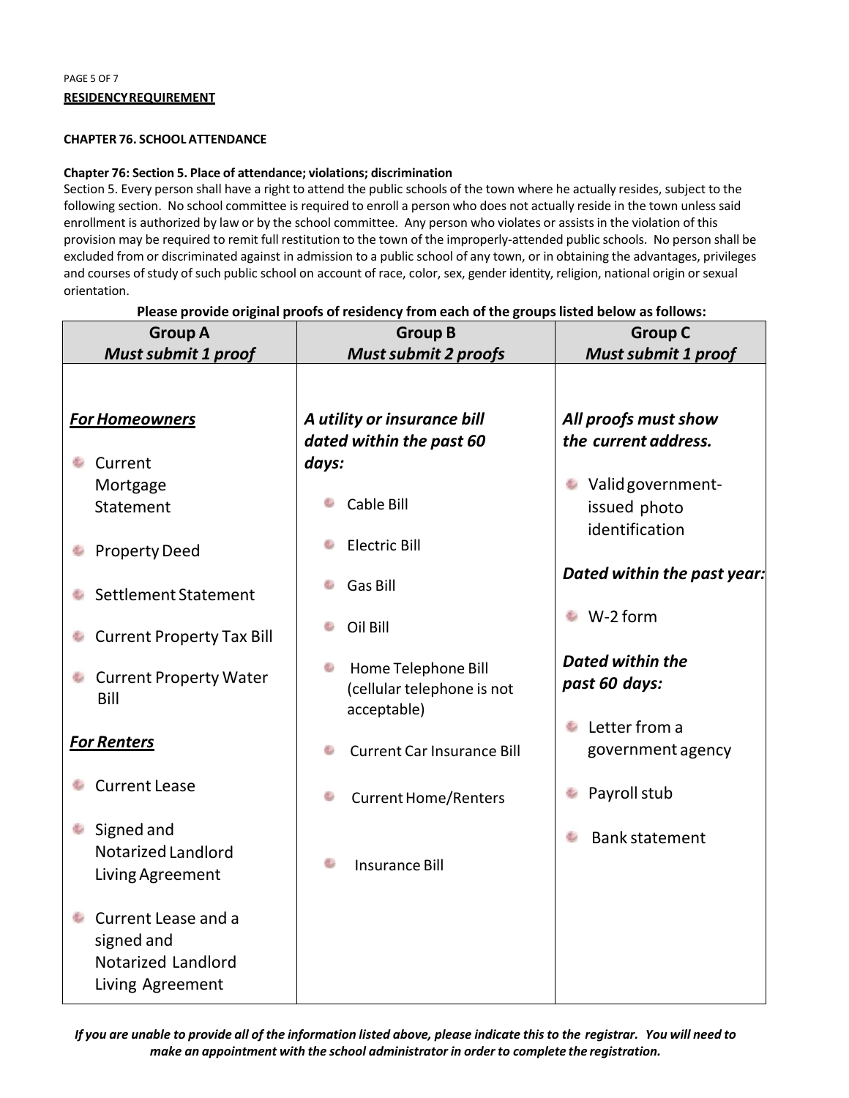# **CHAPTER 76. SCHOOL ATTENDANCE**

# **Chapter 76: Section 5. Place of attendance; violations; discrimination**

Section 5. Every person shall have a right to attend the public schools of the town where he actually resides, subject to the following section. No school committee is required to enroll a person who does not actually reside in the town unless said enrollment is authorized by law or by the school committee. Any person who violates or assists in the violation of this provision may be required to remit full restitution to the town of the improperly‐attended public schools. No person shall be excluded from or discriminated against in admission to a public school of any town, or in obtaining the advantages, privileges and courses of study of such public school on account of race, color, sex, gender identity, religion, national origin or sexual orientation.

#### **Group A Group B Group C** *Must submit 1 proof Must submit 2 proofs Must submit 1 proof A utility or insurance bill All proofs must show For Homeowners dated within the past 60 the current address.* **Current** *days:* ● Valid government-Mortgage e. Cable Bill issued photo Statement identification ò Electric Bill **Property Deed** *Dated within the past year:* Gas Bill Settlement Statement ■ W-2 form Oil Bill **Current Property Tax Bill** *Dated within the*  **Home Telephone Bill Current Property Water** *past 60 days:* (cellular telephone is not Bill acceptable) **Letter from a** *For Renters* government agency Current Car Insurance Bill **Current Lease Payroll stub** d. Current Home/Renters **Signed and** die . Bank statement Notarized Landlord Insurance Bill Living Agreement **Current Lease and a** signed and Notarized Landlord Living Agreement

**Please provide original proofs of residency from each of the groups listed below as follows:**

*If you are unable to provide all of the information listed above, please indicate this to the registrar. You will need to make an appointment with the school administrator in order to complete the registration.*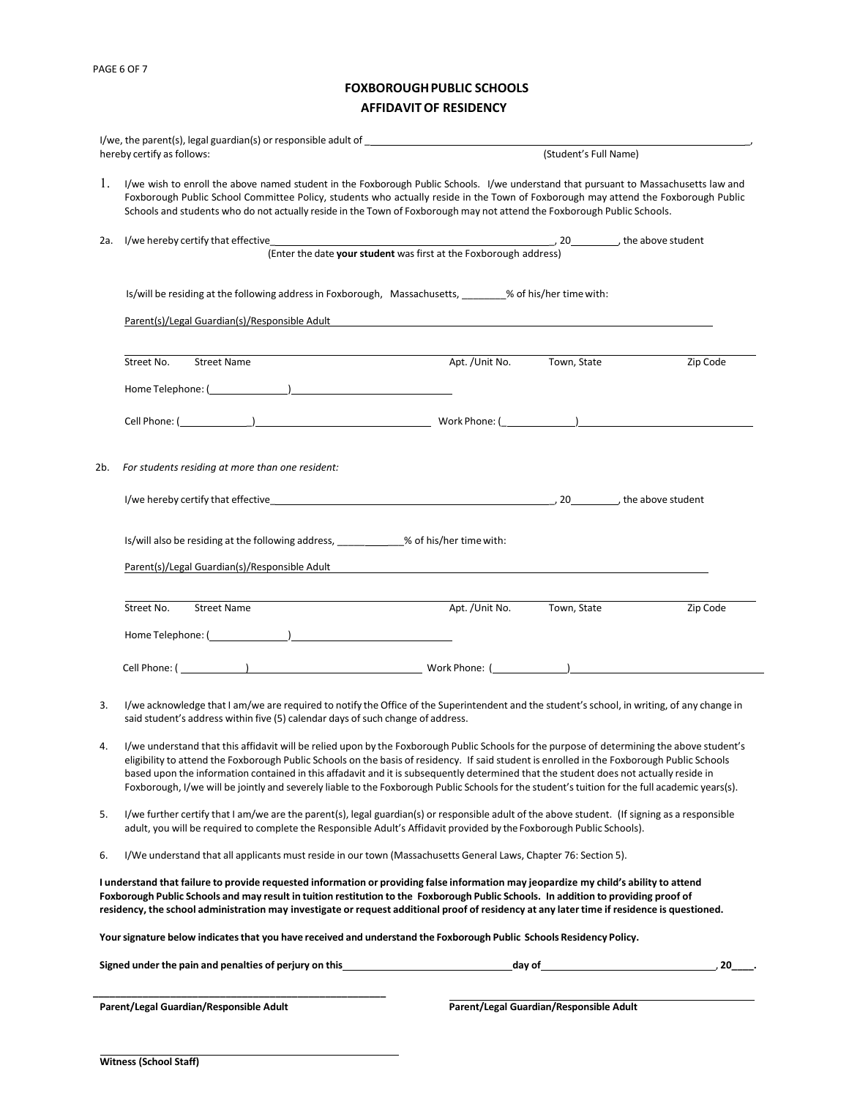# **FOXBOROUGH PUBLIC SCHOOLS AFFIDAVIT OF RESIDENCY**

|          | hereby certify as follows:                                                                                                                                                                                                                                                                                                                                                                                                                                                                                                                                                             |                                                                   | (Student's Full Name) |          |
|----------|----------------------------------------------------------------------------------------------------------------------------------------------------------------------------------------------------------------------------------------------------------------------------------------------------------------------------------------------------------------------------------------------------------------------------------------------------------------------------------------------------------------------------------------------------------------------------------------|-------------------------------------------------------------------|-----------------------|----------|
| 1.       | I/we wish to enroll the above named student in the Foxborough Public Schools. I/we understand that pursuant to Massachusetts law and<br>Foxborough Public School Committee Policy, students who actually reside in the Town of Foxborough may attend the Foxborough Public<br>Schools and students who do not actually reside in the Town of Foxborough may not attend the Foxborough Public Schools.                                                                                                                                                                                  |                                                                   |                       |          |
| 2a.      |                                                                                                                                                                                                                                                                                                                                                                                                                                                                                                                                                                                        |                                                                   |                       |          |
|          |                                                                                                                                                                                                                                                                                                                                                                                                                                                                                                                                                                                        | (Enter the date your student was first at the Foxborough address) |                       |          |
|          | Is/will be residing at the following address in Foxborough, Massachusetts, _______% of his/her time with:                                                                                                                                                                                                                                                                                                                                                                                                                                                                              |                                                                   |                       |          |
|          | Parent(s)/Legal Guardian(s)/Responsible Adult                                                                                                                                                                                                                                                                                                                                                                                                                                                                                                                                          |                                                                   |                       |          |
|          | Street No.<br><b>Street Name</b>                                                                                                                                                                                                                                                                                                                                                                                                                                                                                                                                                       | Apt. /Unit No.                                                    | Town, State           | Zip Code |
|          |                                                                                                                                                                                                                                                                                                                                                                                                                                                                                                                                                                                        |                                                                   |                       |          |
|          |                                                                                                                                                                                                                                                                                                                                                                                                                                                                                                                                                                                        |                                                                   |                       |          |
| 2b.      | For students residing at more than one resident:                                                                                                                                                                                                                                                                                                                                                                                                                                                                                                                                       |                                                                   |                       |          |
|          | I/we hereby certify that effective example and the state of the state of the state of the state of the state of the state of the state of the state of the state of the state of the state of the state of the state of the st                                                                                                                                                                                                                                                                                                                                                         |                                                                   |                       |          |
|          | Is/will also be residing at the following address, __________% of his/her time with:<br>Parent(s)/Legal Guardian(s)/Responsible Adult                                                                                                                                                                                                                                                                                                                                                                                                                                                  |                                                                   |                       |          |
|          |                                                                                                                                                                                                                                                                                                                                                                                                                                                                                                                                                                                        |                                                                   |                       |          |
|          | Street No.<br><b>Street Name</b>                                                                                                                                                                                                                                                                                                                                                                                                                                                                                                                                                       | Apt. / Unit No.                                                   | Town, State           | Zip Code |
|          |                                                                                                                                                                                                                                                                                                                                                                                                                                                                                                                                                                                        |                                                                   |                       |          |
|          |                                                                                                                                                                                                                                                                                                                                                                                                                                                                                                                                                                                        |                                                                   |                       |          |
| 3.       | I/we acknowledge that I am/we are required to notify the Office of the Superintendent and the student's school, in writing, of any change in<br>said student's address within five (5) calendar days of such change of address.                                                                                                                                                                                                                                                                                                                                                        |                                                                   |                       |          |
|          | I/we understand that this affidavit will be relied upon by the Foxborough Public Schools for the purpose of determining the above student's<br>eligibility to attend the Foxborough Public Schools on the basis of residency. If said student is enrolled in the Foxborough Public Schools<br>based upon the information contained in this affadavit and it is subsequently determined that the student does not actually reside in<br>Foxborough, I/we will be jointly and severely liable to the Foxborough Public Schools for the student's tuition for the full academic years(s). |                                                                   |                       |          |
|          | I/we further certify that I am/we are the parent(s), legal guardian(s) or responsible adult of the above student. (If signing as a responsible<br>adult, you will be required to complete the Responsible Adult's Affidavit provided by the Foxborough Public Schools).                                                                                                                                                                                                                                                                                                                |                                                                   |                       |          |
| 4.<br>6. | I/We understand that all applicants must reside in our town (Massachusetts General Laws, Chapter 76: Section 5).                                                                                                                                                                                                                                                                                                                                                                                                                                                                       |                                                                   |                       |          |
| 5.       | I understand that failure to provide requested information or providing false information may jeopardize my child's ability to attend<br>Foxborough Public Schools and may result in tuition restitution to the Foxborough Public Schools. In addition to providing proof of<br>residency, the school administration may investigate or request additional proof of residency at any later time if residence is questioned.                                                                                                                                                            |                                                                   |                       |          |
|          | Your signature below indicates that you have received and understand the Foxborough Public Schools Residency Policy.                                                                                                                                                                                                                                                                                                                                                                                                                                                                   |                                                                   |                       |          |